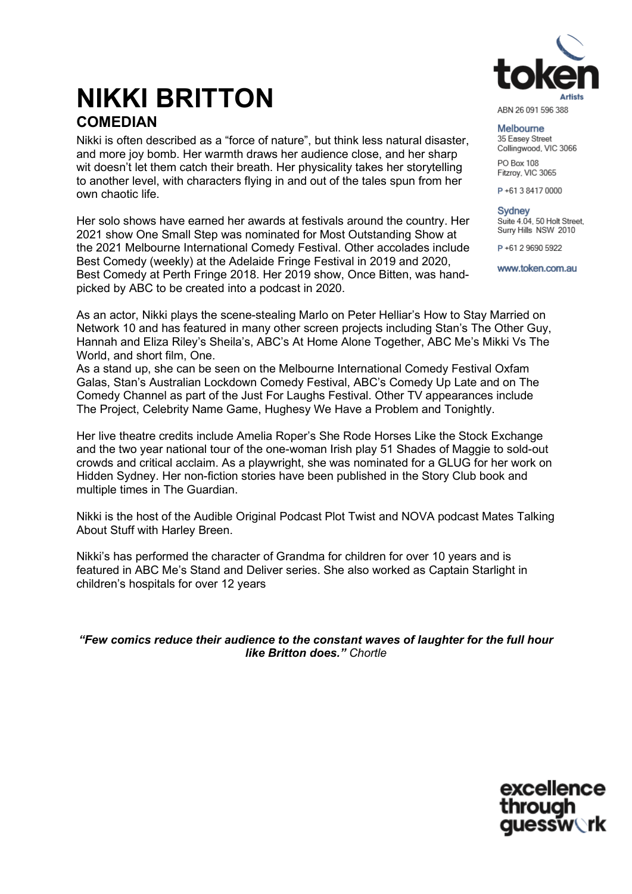# ABN 26 091 596 388

## **NIKKI BRITTON COMEDIAN**

Nikki is often described as a "force of nature", but think less natural disaster, and more joy bomb. Her warmth draws her audience close, and her sharp wit doesn't let them catch their breath. Her physicality takes her storytelling to another level, with characters flying in and out of the tales spun from her own chaotic life.

Her solo shows have earned her awards at festivals around the country. Her 2021 show One Small Step was nominated for Most Outstanding Show at the 2021 Melbourne International Comedy Festival. Other accolades include Best Comedy (weekly) at the Adelaide Fringe Festival in 2019 and 2020, Best Comedy at Perth Fringe 2018. Her 2019 show, Once Bitten, was handpicked by ABC to be created into a podcast in 2020.

Melbourne 35 Easev Street

Collingwood, VIC 3066 PO Box 108

Fitzroy, VIC 3065

P+61384170000

Sydney Suite 4.04, 50 Holt Street, Surry Hills NSW 2010

P+61 2 9690 5922

www.token.com.au

As an actor, Nikki plays the scene-stealing Marlo on Peter Helliar's How to Stay Married on Network 10 and has featured in many other screen projects including Stan's The Other Guy, Hannah and Eliza Riley's Sheila's, ABC's At Home Alone Together, ABC Me's Mikki Vs The World, and short film, One.

As a stand up, she can be seen on the Melbourne International Comedy Festival Oxfam Galas, Stan's Australian Lockdown Comedy Festival, ABC's Comedy Up Late and on The Comedy Channel as part of the Just For Laughs Festival. Other TV appearances include The Project, Celebrity Name Game, Hughesy We Have a Problem and Tonightly.

Her live theatre credits include Amelia Roper's She Rode Horses Like the Stock Exchange and the two year national tour of the one-woman Irish play 51 Shades of Maggie to sold-out crowds and critical acclaim. As a playwright, she was nominated for a GLUG for her work on Hidden Sydney. Her non-fiction stories have been published in the Story Club book and multiple times in The Guardian.

Nikki is the host of the Audible Original Podcast Plot Twist and NOVA podcast Mates Talking About Stuff with Harley Breen.

Nikki's has performed the character of Grandma for children for over 10 years and is featured in ABC Me's Stand and Deliver series. She also worked as Captain Starlight in children's hospitals for over 12 years

*"Few comics reduce their audience to the constant waves of laughter for the full hour like Britton does." Chortle*

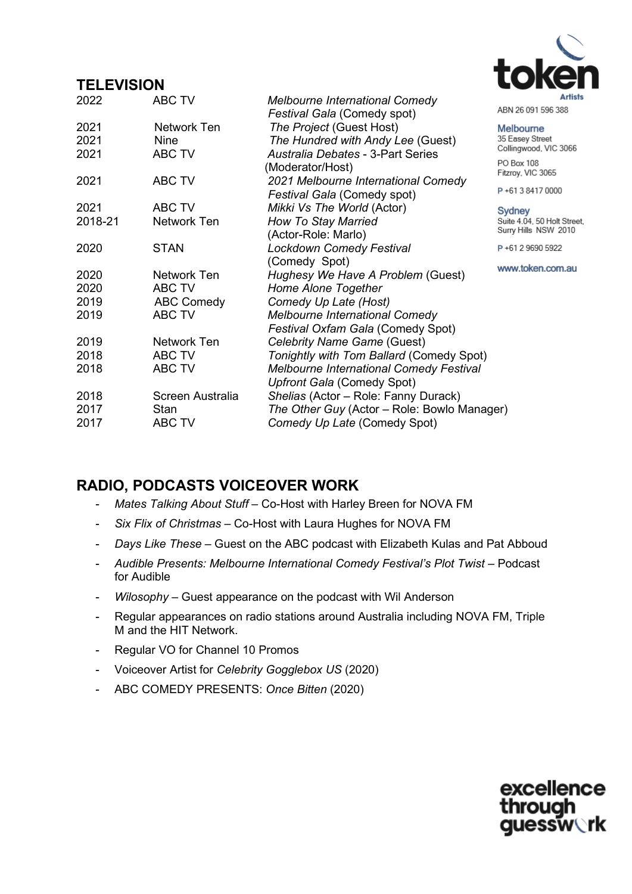#### **TELEVISION**

| 2022    | <b>ABC TV</b>     | Melbourne International Comedy                 | ABN 26 091 596                      |
|---------|-------------------|------------------------------------------------|-------------------------------------|
|         |                   | Festival Gala (Comedy spot)                    |                                     |
| 2021    | Network Ten       | The Project (Guest Host)                       | Melbourne                           |
| 2021    | <b>Nine</b>       | The Hundred with Andy Lee (Guest)              | 35 Easey Street<br>Collingwood, VIC |
| 2021    | ABC TV            | <b>Australia Debates - 3-Part Series</b>       |                                     |
|         |                   | (Moderator/Host)                               | PO Box 108<br>Fitzroy, VIC 3065     |
| 2021    | ABC TV            | 2021 Melbourne International Comedy            |                                     |
|         |                   | Festival Gala (Comedy spot)                    | P+6138417000                        |
| 2021    | ABC TV            | Mikki Vs The World (Actor)                     | Sydney                              |
| 2018-21 | Network Ten       | <b>How To Stay Married</b>                     | Suite 4.04, 50 Ho                   |
|         |                   | (Actor-Role: Marlo)                            | Surry Hills NSW                     |
| 2020    | <b>STAN</b>       | <b>Lockdown Comedy Festival</b>                | P+61 2 9690 592                     |
|         |                   | (Comedy Spot)                                  |                                     |
| 2020    | Network Ten       | Hughesy We Have A Problem (Guest)              | www.token.co                        |
| 2020    | ABC TV            | Home Alone Together                            |                                     |
| 2019    | <b>ABC Comedy</b> | Comedy Up Late (Host)                          |                                     |
| 2019    | ABC TV            | <b>Melbourne International Comedy</b>          |                                     |
|         |                   | Festival Oxfam Gala (Comedy Spot)              |                                     |
| 2019    | Network Ten       | Celebrity Name Game (Guest)                    |                                     |
| 2018    | ABC TV            | Tonightly with Tom Ballard (Comedy Spot)       |                                     |
| 2018    | ABC TV            | <b>Melbourne International Comedy Festival</b> |                                     |
|         |                   | Upfront Gala (Comedy Spot)                     |                                     |
| 2018    | Screen Australia  | Shelias (Actor - Role: Fanny Durack)           |                                     |
| 2017    | Stan              | The Other Guy (Actor – Role: Bowlo Manager)    |                                     |
| 2017    | ABC TV            | Comedy Up Late (Comedy Spot)                   |                                     |

#### **RADIO, PODCASTS VOICEOVER WORK**

- *Mates Talking About Stuff –* Co-Host with Harley Breen for NOVA FM
- *Six Flix of Christmas –* Co-Host with Laura Hughes for NOVA FM
- *Days Like These –* Guest on the ABC podcast with Elizabeth Kulas and Pat Abboud
- *Audible Presents: Melbourne International Comedy Festival's Plot Twist –* Podcast for Audible
- *Wilosophy –* Guest appearance on the podcast with Wil Anderson
- Regular appearances on radio stations around Australia including NOVA FM, Triple M and the HIT Network.
- Regular VO for Channel 10 Promos
- Voiceover Artist for *Celebrity Gogglebox US* (2020)
- ABC COMEDY PRESENTS: *Once Bitten* (2020)



388

C 3066

OO

olt Street, 2010

 $^{22}$ 

m.au